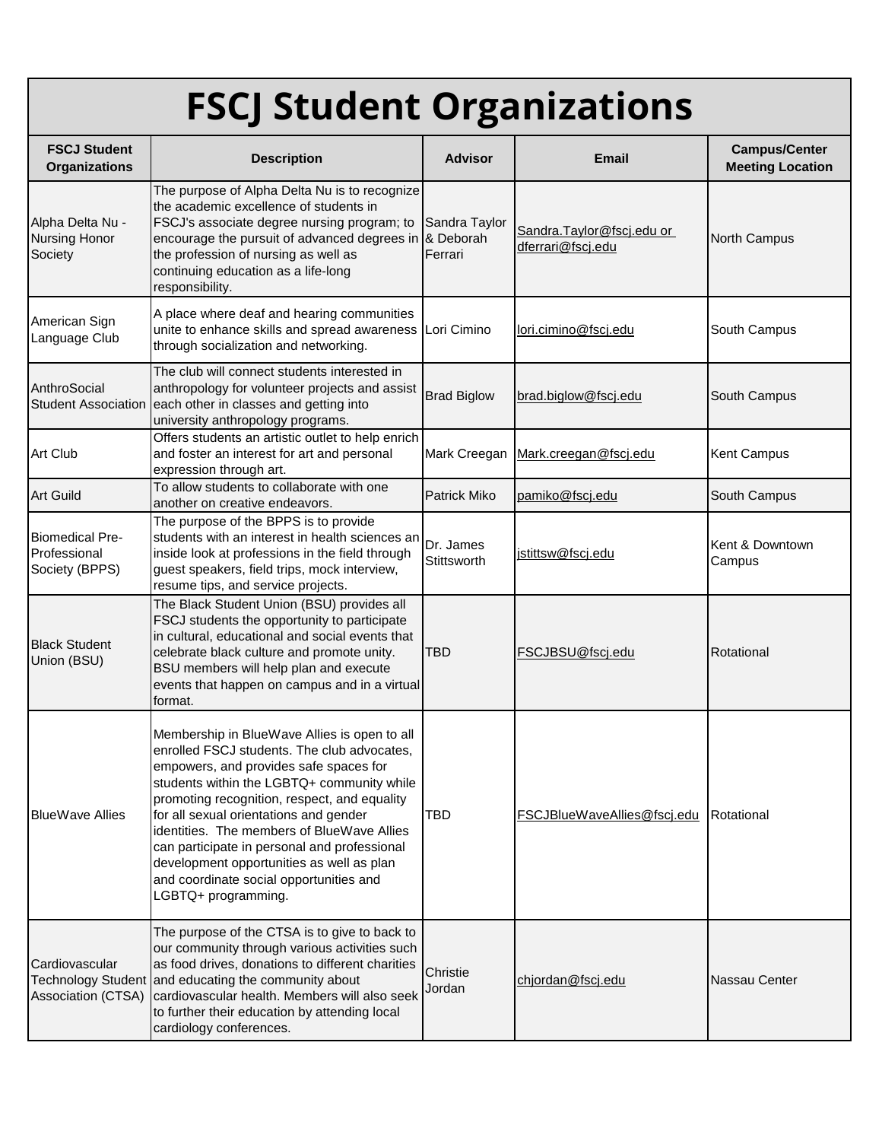## **FSCJ Student Organizations**

| <b>FSCJ Student</b><br><b>Organizations</b>              | <b>Description</b>                                                                                                                                                                                                                                                                                                                                                                                                                                                                         | <b>Advisor</b>           | <b>Email</b>                                   | <b>Campus/Center</b><br><b>Meeting Location</b> |
|----------------------------------------------------------|--------------------------------------------------------------------------------------------------------------------------------------------------------------------------------------------------------------------------------------------------------------------------------------------------------------------------------------------------------------------------------------------------------------------------------------------------------------------------------------------|--------------------------|------------------------------------------------|-------------------------------------------------|
| Alpha Delta Nu -<br>Nursing Honor<br>Society             | The purpose of Alpha Delta Nu is to recognize<br>the academic excellence of students in<br>FSCJ's associate degree nursing program; to<br>encourage the pursuit of advanced degrees in & Deborah<br>the profession of nursing as well as<br>continuing education as a life-long<br>responsibility.                                                                                                                                                                                         | Sandra Taylor<br>Ferrari | Sandra.Taylor@fscj.edu or<br>dferrari@fscj.edu | North Campus                                    |
| American Sign<br>Language Club                           | A place where deaf and hearing communities<br>unite to enhance skills and spread awareness Lori Cimino<br>through socialization and networking.                                                                                                                                                                                                                                                                                                                                            |                          | lori.cimino@fscj.edu                           | South Campus                                    |
| AnthroSocial<br><b>Student Association</b>               | The club will connect students interested in<br>anthropology for volunteer projects and assist<br>each other in classes and getting into<br>university anthropology programs.                                                                                                                                                                                                                                                                                                              | <b>Brad Biglow</b>       | brad.biglow@fscj.edu                           | South Campus                                    |
| <b>Art Club</b>                                          | Offers students an artistic outlet to help enrich<br>and foster an interest for art and personal<br>expression through art.                                                                                                                                                                                                                                                                                                                                                                | Mark Creegan             | Mark.creegan@fscj.edu                          | Kent Campus                                     |
| <b>Art Guild</b>                                         | To allow students to collaborate with one<br>another on creative endeavors.                                                                                                                                                                                                                                                                                                                                                                                                                | Patrick Miko             | pamiko@fscj.edu                                | South Campus                                    |
| <b>Biomedical Pre-</b><br>Professional<br>Society (BPPS) | The purpose of the BPPS is to provide<br>students with an interest in health sciences ar<br>inside look at professions in the field through<br>guest speakers, field trips, mock interview,<br>resume tips, and service projects.                                                                                                                                                                                                                                                          | Dr. James<br>Stittsworth | jstittsw@fscj.edu                              | Kent & Downtown<br>Campus                       |
| <b>Black Student</b><br>Union (BSU)                      | The Black Student Union (BSU) provides all<br>FSCJ students the opportunity to participate<br>in cultural, educational and social events that<br>celebrate black culture and promote unity.<br>BSU members will help plan and execute<br>events that happen on campus and in a virtual<br>format.                                                                                                                                                                                          | <b>TBD</b>               | FSCJBSU@fscj.edu                               | Rotational                                      |
| <b>BlueWave Allies</b>                                   | Membership in BlueWave Allies is open to all<br>enrolled FSCJ students. The club advocates,<br>empowers, and provides safe spaces for<br>students within the LGBTQ+ community while<br>promoting recognition, respect, and equality<br>for all sexual orientations and gender<br>identities. The members of BlueWave Allies<br>can participate in personal and professional<br>development opportunities as well as plan<br>and coordinate social opportunities and<br>LGBTQ+ programming. | <b>TBD</b>               | FSCJBlueWaveAllies@fscj.edu                    | Rotational                                      |
| Cardiovascular<br>Association (CTSA)                     | The purpose of the CTSA is to give to back to<br>our community through various activities such<br>as food drives, donations to different charities<br>Technology Student and educating the community about<br>cardiovascular health. Members will also seek<br>to further their education by attending local<br>cardiology conferences.                                                                                                                                                    | Christie<br>Jordan       | chjordan@fscj.edu                              | Nassau Center                                   |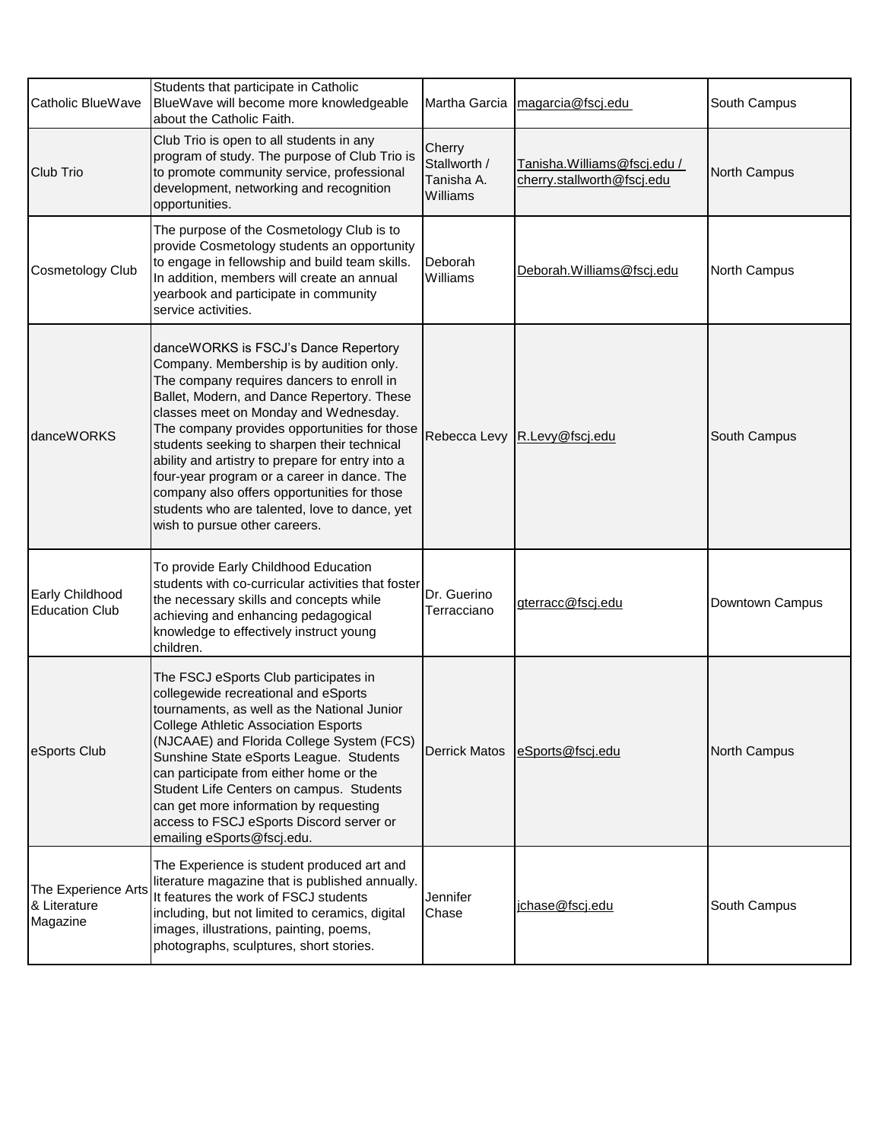| Catholic BlueWave                                      | Students that participate in Catholic<br>BlueWave will become more knowledgeable<br>about the Catholic Faith.                                                                                                                                                                                                                                                                                                                                                                                                                                           | Martha Garcia                                    | magarcia@fscj.edu                                         | South Campus    |
|--------------------------------------------------------|---------------------------------------------------------------------------------------------------------------------------------------------------------------------------------------------------------------------------------------------------------------------------------------------------------------------------------------------------------------------------------------------------------------------------------------------------------------------------------------------------------------------------------------------------------|--------------------------------------------------|-----------------------------------------------------------|-----------------|
| <b>Club Trio</b>                                       | Club Trio is open to all students in any<br>program of study. The purpose of Club Trio is<br>to promote community service, professional<br>development, networking and recognition<br>opportunities.                                                                                                                                                                                                                                                                                                                                                    | Cherry<br>Stallworth /<br>Tanisha A.<br>Williams | Tanisha.Williams@fscj.edu /<br>cherry.stallworth@fscj.edu | North Campus    |
| <b>Cosmetology Club</b>                                | The purpose of the Cosmetology Club is to<br>provide Cosmetology students an opportunity<br>to engage in fellowship and build team skills.<br>In addition, members will create an annual<br>yearbook and participate in community<br>service activities.                                                                                                                                                                                                                                                                                                | Deborah<br>Williams                              | Deborah. Williams@fscj.edu                                | North Campus    |
| danceWORKS                                             | danceWORKS is FSCJ's Dance Repertory<br>Company. Membership is by audition only.<br>The company requires dancers to enroll in<br>Ballet, Modern, and Dance Repertory. These<br>classes meet on Monday and Wednesday.<br>The company provides opportunities for those<br>students seeking to sharpen their technical<br>ability and artistry to prepare for entry into a<br>four-year program or a career in dance. The<br>company also offers opportunities for those<br>students who are talented, love to dance, yet<br>wish to pursue other careers. | Rebecca Levy                                     | R.Levy@fscj.edu                                           | South Campus    |
| Early Childhood<br><b>Education Club</b>               | To provide Early Childhood Education<br>students with co-curricular activities that foster<br>the necessary skills and concepts while<br>achieving and enhancing pedagogical<br>knowledge to effectively instruct young<br>children.                                                                                                                                                                                                                                                                                                                    | Dr. Guerino<br>Terracciano                       | gterracc@fscj.edu                                         | Downtown Campus |
| eSports Club                                           | The FSCJ eSports Club participates in<br>collegewide recreational and eSports<br>tournaments, as well as the National Junior<br><b>College Athletic Association Esports</b><br>(NJCAAE) and Florida College System (FCS)<br>Sunshine State eSports League. Students<br>can participate from either home or the<br>Student Life Centers on campus. Students<br>can get more information by requesting<br>access to FSCJ eSports Discord server or<br>emailing eSports@fscj.edu.                                                                          | <b>Derrick Matos</b>                             | eSports@fscj.edu                                          | North Campus    |
| The Experience Arts<br><b>8 Literature</b><br>Magazine | The Experience is student produced art and<br>literature magazine that is published annually.<br>It features the work of FSCJ students<br>including, but not limited to ceramics, digital<br>images, illustrations, painting, poems,<br>photographs, sculptures, short stories.                                                                                                                                                                                                                                                                         | Jennifer<br>Chase                                | jchase@fscj.edu                                           | South Campus    |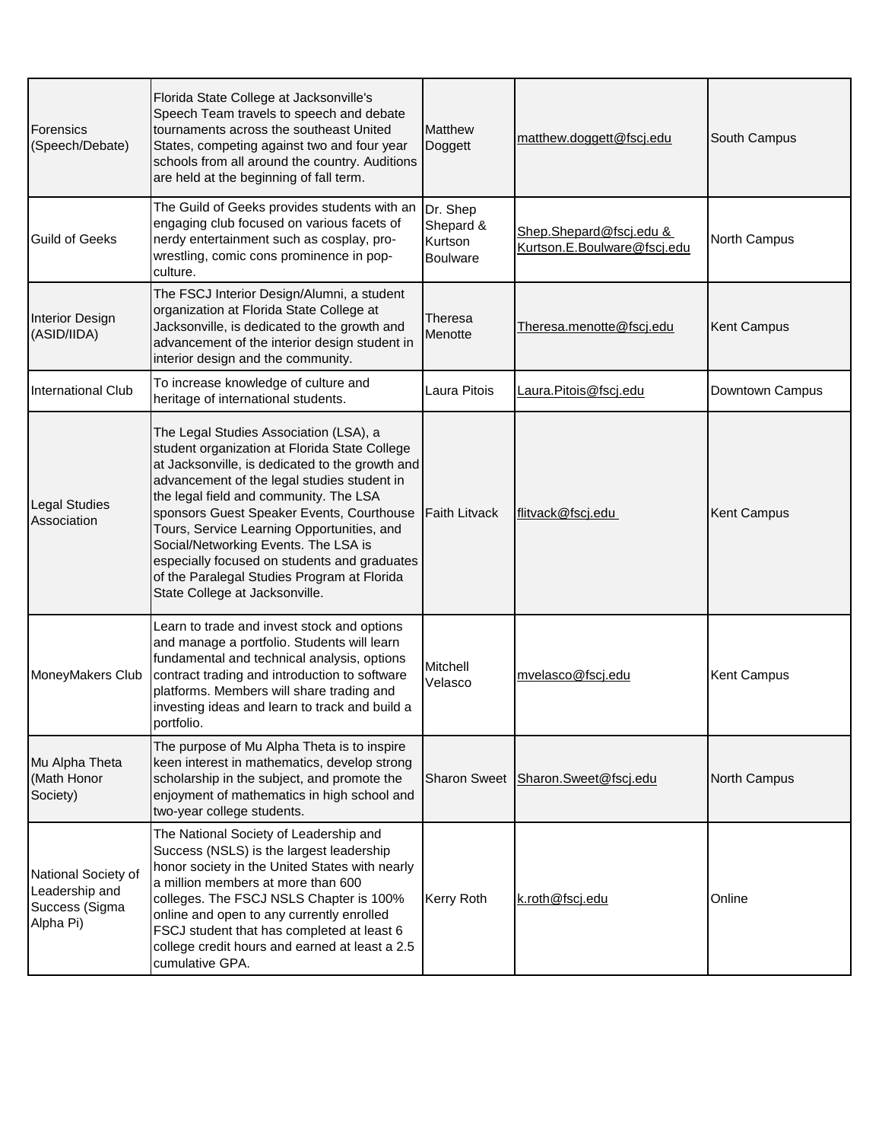| <b>Forensics</b><br>(Speech/Debate)                                  | Florida State College at Jacksonville's<br>Speech Team travels to speech and debate<br>tournaments across the southeast United<br>States, competing against two and four year<br>schools from all around the country. Auditions<br>are held at the beginning of fall term.                                                                                                                                                                                                                              | Matthew<br>Doggett                                  | matthew.doggett@fscj.edu                               | South Campus    |
|----------------------------------------------------------------------|---------------------------------------------------------------------------------------------------------------------------------------------------------------------------------------------------------------------------------------------------------------------------------------------------------------------------------------------------------------------------------------------------------------------------------------------------------------------------------------------------------|-----------------------------------------------------|--------------------------------------------------------|-----------------|
| <b>Guild of Geeks</b>                                                | The Guild of Geeks provides students with an<br>engaging club focused on various facets of<br>nerdy entertainment such as cosplay, pro-<br>wrestling, comic cons prominence in pop-<br>culture.                                                                                                                                                                                                                                                                                                         | Dr. Shep<br>Shepard &<br>Kurtson<br><b>Boulware</b> | Shep.Shepard@fscj.edu &<br>Kurtson.E.Boulware@fscj.edu | North Campus    |
| Interior Design<br>(ASID/IIDA)                                       | The FSCJ Interior Design/Alumni, a student<br>organization at Florida State College at<br>Jacksonville, is dedicated to the growth and<br>advancement of the interior design student in<br>interior design and the community.                                                                                                                                                                                                                                                                           | Theresa<br>Menotte                                  | Theresa.menotte@fscj.edu                               | Kent Campus     |
| <b>International Club</b>                                            | To increase knowledge of culture and<br>heritage of international students.                                                                                                                                                                                                                                                                                                                                                                                                                             | Laura Pitois                                        | Laura.Pitois@fscj.edu                                  | Downtown Campus |
| <b>Legal Studies</b><br>Association                                  | The Legal Studies Association (LSA), a<br>student organization at Florida State College<br>at Jacksonville, is dedicated to the growth and<br>advancement of the legal studies student in<br>the legal field and community. The LSA<br>sponsors Guest Speaker Events, Courthouse<br>Tours, Service Learning Opportunities, and<br>Social/Networking Events. The LSA is<br>especially focused on students and graduates<br>of the Paralegal Studies Program at Florida<br>State College at Jacksonville. | <b>Faith Litvack</b>                                | flitvack@fscj.edu                                      | Kent Campus     |
| MoneyMakers Club                                                     | Learn to trade and invest stock and options<br>and manage a portfolio. Students will learn<br>fundamental and technical analysis, options<br>contract trading and introduction to software<br>platforms. Members will share trading and<br>investing ideas and learn to track and build a<br>portfolio.                                                                                                                                                                                                 | Mitchell<br>Velasco                                 | mvelasco@fscj.edu                                      | Kent Campus     |
| Mu Alpha Theta<br>(Math Honor<br>Society)                            | The purpose of Mu Alpha Theta is to inspire<br>keen interest in mathematics, develop strong<br>scholarship in the subject, and promote the<br>enjoyment of mathematics in high school and<br>two-year college students.                                                                                                                                                                                                                                                                                 | Sharon Sweet                                        | Sharon.Sweet@fscj.edu                                  | North Campus    |
| National Society of<br>Leadership and<br>Success (Sigma<br>Alpha Pi) | The National Society of Leadership and<br>Success (NSLS) is the largest leadership<br>honor society in the United States with nearly<br>a million members at more than 600<br>colleges. The FSCJ NSLS Chapter is 100%<br>online and open to any currently enrolled<br>FSCJ student that has completed at least 6<br>college credit hours and earned at least a 2.5<br>cumulative GPA.                                                                                                                   | Kerry Roth                                          | k.roth@fscj.edu                                        | Online          |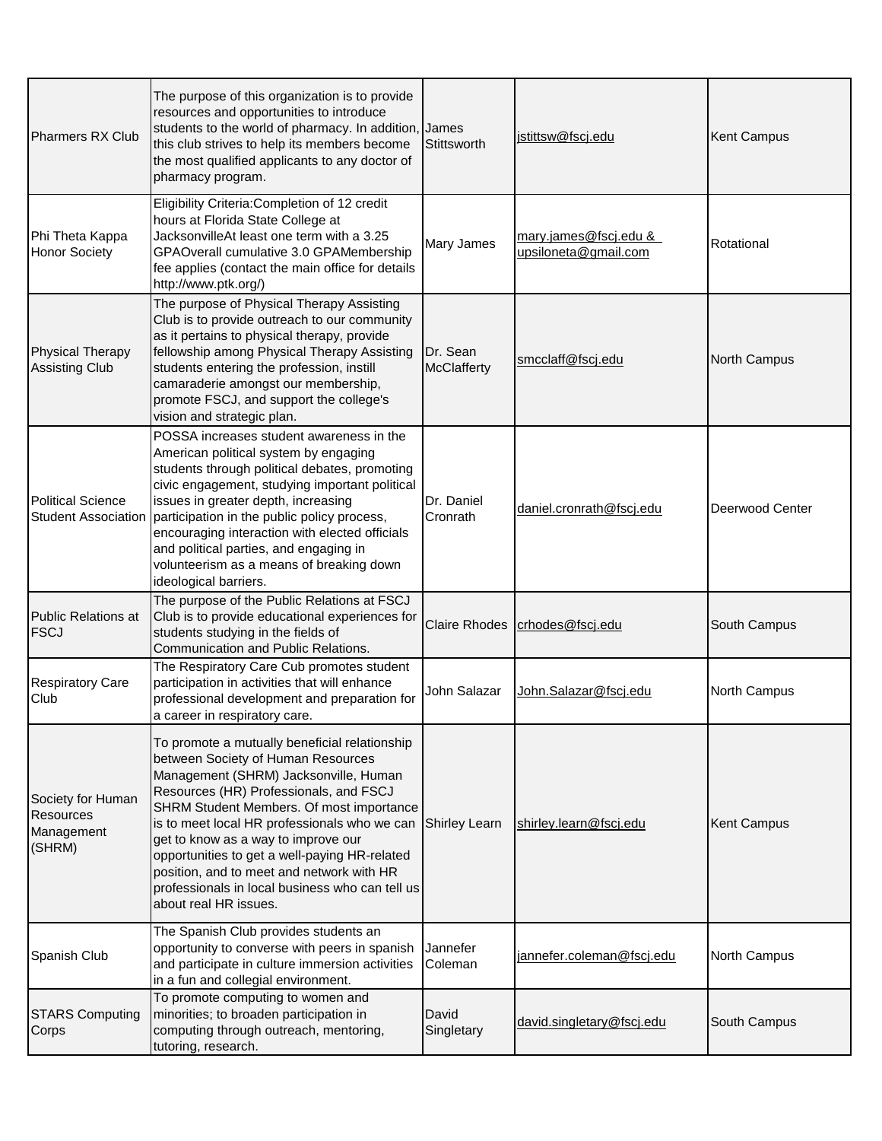| Pharmers RX Club                                              | The purpose of this organization is to provide<br>resources and opportunities to introduce<br>students to the world of pharmacy. In addition, James<br>this club strives to help its members become<br>the most qualified applicants to any doctor of<br>pharmacy program.                                                                                                                                                                                                          | Stittsworth             | jstittsw@fscj.edu                                        | Kent Campus     |
|---------------------------------------------------------------|-------------------------------------------------------------------------------------------------------------------------------------------------------------------------------------------------------------------------------------------------------------------------------------------------------------------------------------------------------------------------------------------------------------------------------------------------------------------------------------|-------------------------|----------------------------------------------------------|-----------------|
| Phi Theta Kappa<br><b>Honor Society</b>                       | Eligibility Criteria: Completion of 12 credit<br>hours at Florida State College at<br>JacksonvilleAt least one term with a 3.25<br>GPAOverall cumulative 3.0 GPAMembership<br>fee applies (contact the main office for details<br>http://www.ptk.org/)                                                                                                                                                                                                                              | Mary James              | <u>mary.james@fscj.edu &amp;</u><br>upsiloneta@gmail.com | Rotational      |
| <b>Physical Therapy</b><br><b>Assisting Club</b>              | The purpose of Physical Therapy Assisting<br>Club is to provide outreach to our community<br>as it pertains to physical therapy, provide<br>fellowship among Physical Therapy Assisting<br>students entering the profession, instill<br>camaraderie amongst our membership,<br>promote FSCJ, and support the college's<br>vision and strategic plan.                                                                                                                                | Dr. Sean<br>McClafferty | smcclaff@fscj.edu                                        | North Campus    |
| <b>Political Science</b>                                      | POSSA increases student awareness in the<br>American political system by engaging<br>students through political debates, promoting<br>civic engagement, studying important political<br>issues in greater depth, increasing<br>Student Association participation in the public policy process,<br>encouraging interaction with elected officials<br>and political parties, and engaging in<br>volunteerism as a means of breaking down<br>ideological barriers.                     | Dr. Daniel<br>Cronrath  | daniel.cronrath@fscj.edu                                 | Deerwood Center |
| Public Relations at<br><b>FSCJ</b>                            | The purpose of the Public Relations at FSCJ<br>Club is to provide educational experiences for<br>students studying in the fields of<br>Communication and Public Relations.                                                                                                                                                                                                                                                                                                          | <b>Claire Rhodes</b>    | crhodes@fscj.edu                                         | South Campus    |
| <b>Respiratory Care</b><br>Club                               | The Respiratory Care Cub promotes student<br>participation in activities that will enhance<br>professional development and preparation for<br>a career in respiratory care.                                                                                                                                                                                                                                                                                                         | John Salazar            | <u> John.Salazar@fscj.edu</u>                            | North Campus    |
| Society for Human<br><b>Resources</b><br>Management<br>(SHRM) | To promote a mutually beneficial relationship<br>between Society of Human Resources<br>Management (SHRM) Jacksonville, Human<br>Resources (HR) Professionals, and FSCJ<br>SHRM Student Members. Of most importance<br>is to meet local HR professionals who we can<br>get to know as a way to improve our<br>opportunities to get a well-paying HR-related<br>position, and to meet and network with HR<br>professionals in local business who can tell us<br>about real HR issues. | <b>Shirley Learn</b>    | shirley.learn@fscj.edu                                   | Kent Campus     |
| Spanish Club                                                  | The Spanish Club provides students an<br>opportunity to converse with peers in spanish<br>and participate in culture immersion activities<br>in a fun and collegial environment.                                                                                                                                                                                                                                                                                                    | Jannefer<br>Coleman     | jannefer.coleman@fscj.edu                                | North Campus    |
| <b>STARS Computing</b><br>Corps                               | To promote computing to women and<br>minorities; to broaden participation in<br>computing through outreach, mentoring,<br>tutoring, research.                                                                                                                                                                                                                                                                                                                                       | David<br>Singletary     | david.singletary@fscj.edu                                | South Campus    |